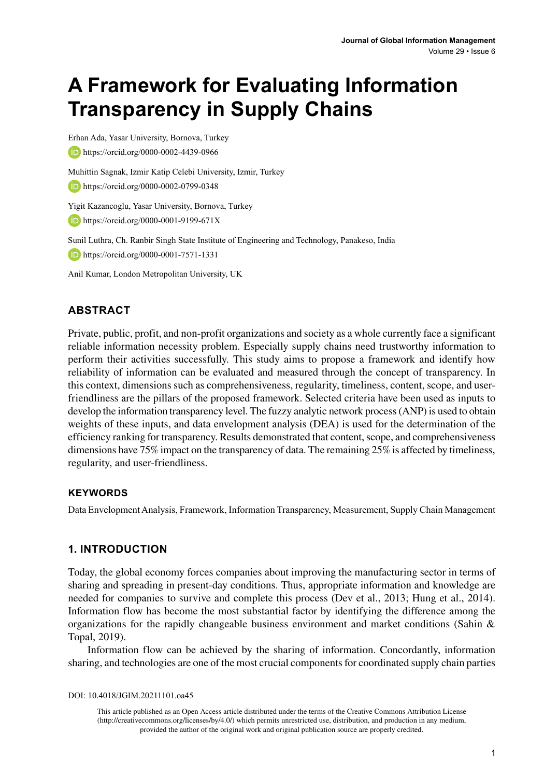# **A Framework for Evaluating Information Transparency in Supply Chains**

Erhan Ada, Yasar University, Bornova, Turkey

**b**<https://orcid.org/0000-0002-4439-0966>

Muhittin Sagnak, Izmir Katip Celebi University, Izmir, Turkey

<https://orcid.org/0000-0002-0799-0348>

Yigit Kazancoglu, Yasar University, Bornova, Turkey

**b**<https://orcid.org/0000-0001-9199-671X>

Sunil Luthra, Ch. Ranbir Singh State Institute of Engineering and Technology, Panakeso, India

<https://orcid.org/0000-0001-7571-1331>

Anil Kumar, London Metropolitan University, UK

# **ABSTRACT**

Private, public, profit, and non-profit organizations and society as a whole currently face a significant reliable information necessity problem. Especially supply chains need trustworthy information to perform their activities successfully. This study aims to propose a framework and identify how reliability of information can be evaluated and measured through the concept of transparency. In this context, dimensions such as comprehensiveness, regularity, timeliness, content, scope, and userfriendliness are the pillars of the proposed framework. Selected criteria have been used as inputs to develop the information transparency level. The fuzzy analytic network process (ANP) is used to obtain weights of these inputs, and data envelopment analysis (DEA) is used for the determination of the efficiency ranking for transparency. Results demonstrated that content, scope, and comprehensiveness dimensions have 75% impact on the transparency of data. The remaining 25% is affected by timeliness, regularity, and user-friendliness.

## **Keywords**

Data Envelopment Analysis, Framework, Information Transparency, Measurement, Supply Chain Management

## **1. INTRODUCTION**

Today, the global economy forces companies about improving the manufacturing sector in terms of sharing and spreading in present-day conditions. Thus, appropriate information and knowledge are needed for companies to survive and complete this process (Dev et al., 2013; Hung et al., 2014). Information flow has become the most substantial factor by identifying the difference among the organizations for the rapidly changeable business environment and market conditions (Sahin  $\&$ Topal, 2019).

Information flow can be achieved by the sharing of information. Concordantly, information sharing, and technologies are one of the most crucial components for coordinated supply chain parties

DOI: 10.4018/JGIM.20211101.oa45

This article published as an Open Access article distributed under the terms of the Creative Commons Attribution License (http://creativecommons.org/licenses/by/4.0/) which permits unrestricted use, distribution, and production in any medium, provided the author of the original work and original publication source are properly credited.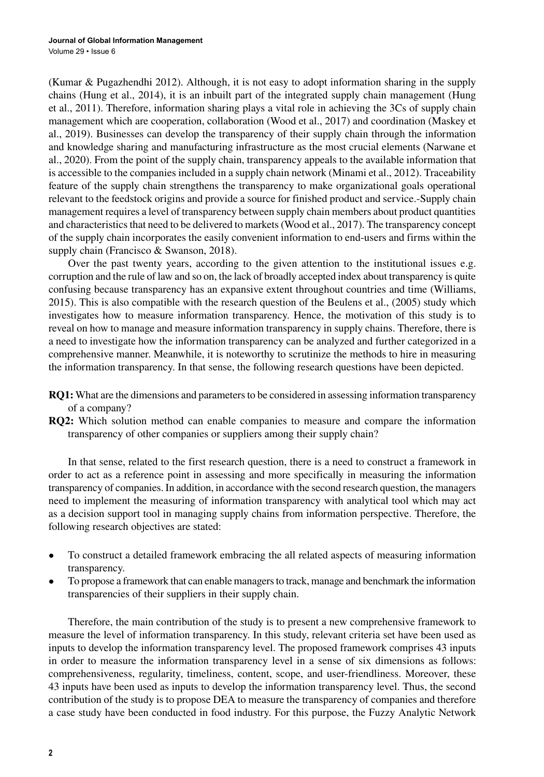(Kumar & Pugazhendhi 2012). Although, it is not easy to adopt information sharing in the supply chains (Hung et al., 2014), it is an inbuilt part of the integrated supply chain management (Hung et al., 2011). Therefore, information sharing plays a vital role in achieving the 3Cs of supply chain management which are cooperation, collaboration (Wood et al., 2017) and coordination (Maskey et al., 2019). Businesses can develop the transparency of their supply chain through the information and knowledge sharing and manufacturing infrastructure as the most crucial elements (Narwane et al., 2020). From the point of the supply chain, transparency appeals to the available information that is accessible to the companies included in a supply chain network (Minami et al., 2012). Traceability feature of the supply chain strengthens the transparency to make organizational goals operational relevant to the feedstock origins and provide a source for finished product and service.-Supply chain management requires a level of transparency between supply chain members about product quantities and characteristics that need to be delivered to markets (Wood et al., 2017). The transparency concept of the supply chain incorporates the easily convenient information to end-users and firms within the supply chain (Francisco & Swanson, 2018).

Over the past twenty years, according to the given attention to the institutional issues e.g. corruption and the rule of law and so on, the lack of broadly accepted index about transparency is quite confusing because transparency has an expansive extent throughout countries and time (Williams, 2015). This is also compatible with the research question of the Beulens et al., (2005) study which investigates how to measure information transparency. Hence, the motivation of this study is to reveal on how to manage and measure information transparency in supply chains. Therefore, there is a need to investigate how the information transparency can be analyzed and further categorized in a comprehensive manner. Meanwhile, it is noteworthy to scrutinize the methods to hire in measuring the information transparency. In that sense, the following research questions have been depicted.

- **RQ1:** What are the dimensions and parameters to be considered in assessing information transparency of a company?
- **RQ2:** Which solution method can enable companies to measure and compare the information transparency of other companies or suppliers among their supply chain?

In that sense, related to the first research question, there is a need to construct a framework in order to act as a reference point in assessing and more specifically in measuring the information transparency of companies. In addition, in accordance with the second research question, the managers need to implement the measuring of information transparency with analytical tool which may act as a decision support tool in managing supply chains from information perspective. Therefore, the following research objectives are stated:

- To construct a detailed framework embracing the all related aspects of measuring information transparency.
- To propose a framework that can enable managers to track, manage and benchmark the information transparencies of their suppliers in their supply chain.

Therefore, the main contribution of the study is to present a new comprehensive framework to measure the level of information transparency. In this study, relevant criteria set have been used as inputs to develop the information transparency level. The proposed framework comprises 43 inputs in order to measure the information transparency level in a sense of six dimensions as follows: comprehensiveness, regularity, timeliness, content, scope, and user-friendliness. Moreover, these 43 inputs have been used as inputs to develop the information transparency level. Thus, the second contribution of the study is to propose DEA to measure the transparency of companies and therefore a case study have been conducted in food industry. For this purpose, the Fuzzy Analytic Network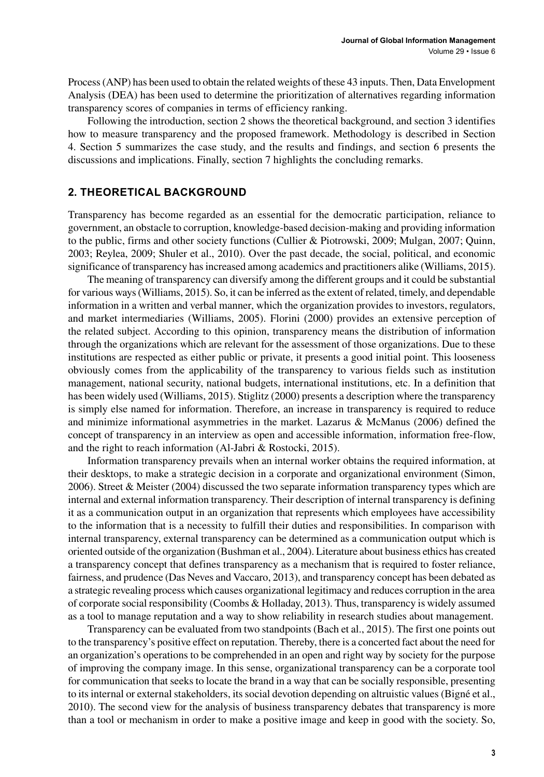Process (ANP) has been used to obtain the related weights of these 43 inputs. Then, Data Envelopment Analysis (DEA) has been used to determine the prioritization of alternatives regarding information transparency scores of companies in terms of efficiency ranking.

Following the introduction, section 2 shows the theoretical background, and section 3 identifies how to measure transparency and the proposed framework. Methodology is described in Section 4. Section 5 summarizes the case study, and the results and findings, and section 6 presents the discussions and implications. Finally, section 7 highlights the concluding remarks.

# **2. THEORETICAL BACKGROUND**

Transparency has become regarded as an essential for the democratic participation, reliance to government, an obstacle to corruption, knowledge-based decision-making and providing information to the public, firms and other society functions (Cullier & Piotrowski, 2009; Mulgan, 2007; Quinn, 2003; Reylea, 2009; Shuler et al., 2010). Over the past decade, the social, political, and economic significance of transparency has increased among academics and practitioners alike (Williams, 2015).

The meaning of transparency can diversify among the different groups and it could be substantial for various ways (Williams, 2015). So, it can be inferred as the extent of related, timely, and dependable information in a written and verbal manner, which the organization provides to investors, regulators, and market intermediaries (Williams, 2005). Florini (2000) provides an extensive perception of the related subject. According to this opinion, transparency means the distribution of information through the organizations which are relevant for the assessment of those organizations. Due to these institutions are respected as either public or private, it presents a good initial point. This looseness obviously comes from the applicability of the transparency to various fields such as institution management, national security, national budgets, international institutions, etc. In a definition that has been widely used (Williams, 2015). Stiglitz (2000) presents a description where the transparency is simply else named for information. Therefore, an increase in transparency is required to reduce and minimize informational asymmetries in the market. Lazarus & McManus (2006) defined the concept of transparency in an interview as open and accessible information, information free-flow, and the right to reach information (Al-Jabri & Rostocki, 2015).

Information transparency prevails when an internal worker obtains the required information, at their desktops, to make a strategic decision in a corporate and organizational environment (Simon, 2006). Street & Meister (2004) discussed the two separate information transparency types which are internal and external information transparency. Their description of internal transparency is defining it as a communication output in an organization that represents which employees have accessibility to the information that is a necessity to fulfill their duties and responsibilities. In comparison with internal transparency, external transparency can be determined as a communication output which is oriented outside of the organization (Bushman et al., 2004). Literature about business ethics has created a transparency concept that defines transparency as a mechanism that is required to foster reliance, fairness, and prudence (Das Neves and Vaccaro, 2013), and transparency concept has been debated as a strategic revealing process which causes organizational legitimacy and reduces corruption in the area of corporate social responsibility (Coombs & Holladay, 2013). Thus, transparency is widely assumed as a tool to manage reputation and a way to show reliability in research studies about management.

Transparency can be evaluated from two standpoints (Bach et al., 2015). The first one points out to the transparency's positive effect on reputation. Thereby, there is a concerted fact about the need for an organization's operations to be comprehended in an open and right way by society for the purpose of improving the company image. In this sense, organizational transparency can be a corporate tool for communication that seeks to locate the brand in a way that can be socially responsible, presenting to its internal or external stakeholders, its social devotion depending on altruistic values (Bigné et al., 2010). The second view for the analysis of business transparency debates that transparency is more than a tool or mechanism in order to make a positive image and keep in good with the society. So,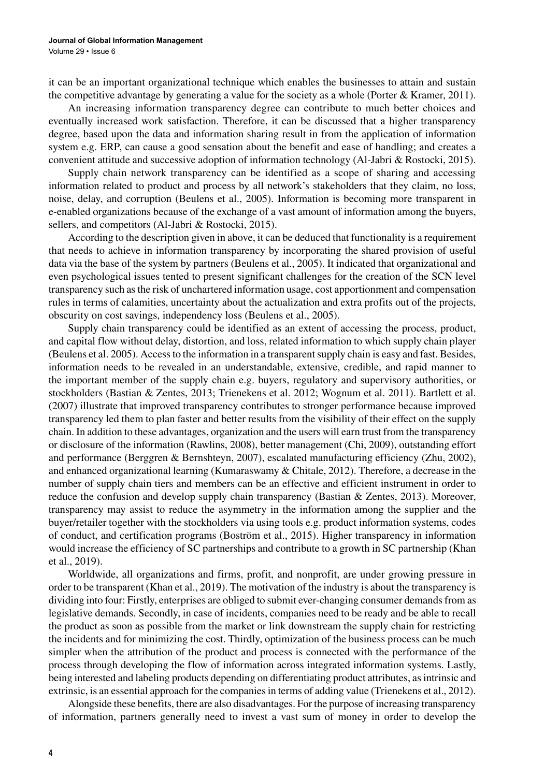it can be an important organizational technique which enables the businesses to attain and sustain the competitive advantage by generating a value for the society as a whole (Porter & Kramer, 2011).

An increasing information transparency degree can contribute to much better choices and eventually increased work satisfaction. Therefore, it can be discussed that a higher transparency degree, based upon the data and information sharing result in from the application of information system e.g. ERP, can cause a good sensation about the benefit and ease of handling; and creates a convenient attitude and successive adoption of information technology (Al-Jabri & Rostocki, 2015).

Supply chain network transparency can be identified as a scope of sharing and accessing information related to product and process by all network's stakeholders that they claim, no loss, noise, delay, and corruption (Beulens et al., 2005). Information is becoming more transparent in e-enabled organizations because of the exchange of a vast amount of information among the buyers, sellers, and competitors (Al-Jabri & Rostocki, 2015).

According to the description given in above, it can be deduced that functionality is a requirement that needs to achieve in information transparency by incorporating the shared provision of useful data via the base of the system by partners (Beulens et al., 2005). It indicated that organizational and even psychological issues tented to present significant challenges for the creation of the SCN level transparency such as the risk of unchartered information usage, cost apportionment and compensation rules in terms of calamities, uncertainty about the actualization and extra profits out of the projects, obscurity on cost savings, independency loss (Beulens et al., 2005).

Supply chain transparency could be identified as an extent of accessing the process, product, and capital flow without delay, distortion, and loss, related information to which supply chain player (Beulens et al. 2005). Access to the information in a transparent supply chain is easy and fast. Besides, information needs to be revealed in an understandable, extensive, credible, and rapid manner to the important member of the supply chain e.g. buyers, regulatory and supervisory authorities, or stockholders (Bastian & Zentes, 2013; Trienekens et al. 2012; Wognum et al. 2011). Bartlett et al. (2007) illustrate that improved transparency contributes to stronger performance because improved transparency led them to plan faster and better results from the visibility of their effect on the supply chain. In addition to these advantages, organization and the users will earn trust from the transparency or disclosure of the information (Rawlins, 2008), better management (Chi, 2009), outstanding effort and performance (Berggren & Bernshteyn, 2007), escalated manufacturing efficiency (Zhu, 2002), and enhanced organizational learning (Kumaraswamy & Chitale, 2012). Therefore, a decrease in the number of supply chain tiers and members can be an effective and efficient instrument in order to reduce the confusion and develop supply chain transparency (Bastian & Zentes, 2013). Moreover, transparency may assist to reduce the asymmetry in the information among the supplier and the buyer/retailer together with the stockholders via using tools e.g. product information systems, codes of conduct, and certification programs (Boström et al., 2015). Higher transparency in information would increase the efficiency of SC partnerships and contribute to a growth in SC partnership (Khan et al., 2019).

Worldwide, all organizations and firms, profit, and nonprofit, are under growing pressure in order to be transparent (Khan et al., 2019). The motivation of the industry is about the transparency is dividing into four: Firstly, enterprises are obliged to submit ever-changing consumer demands from as legislative demands. Secondly, in case of incidents, companies need to be ready and be able to recall the product as soon as possible from the market or link downstream the supply chain for restricting the incidents and for minimizing the cost. Thirdly, optimization of the business process can be much simpler when the attribution of the product and process is connected with the performance of the process through developing the flow of information across integrated information systems. Lastly, being interested and labeling products depending on differentiating product attributes, as intrinsic and extrinsic, is an essential approach for the companies in terms of adding value (Trienekens et al., 2012).

Alongside these benefits, there are also disadvantages. For the purpose of increasing transparency of information, partners generally need to invest a vast sum of money in order to develop the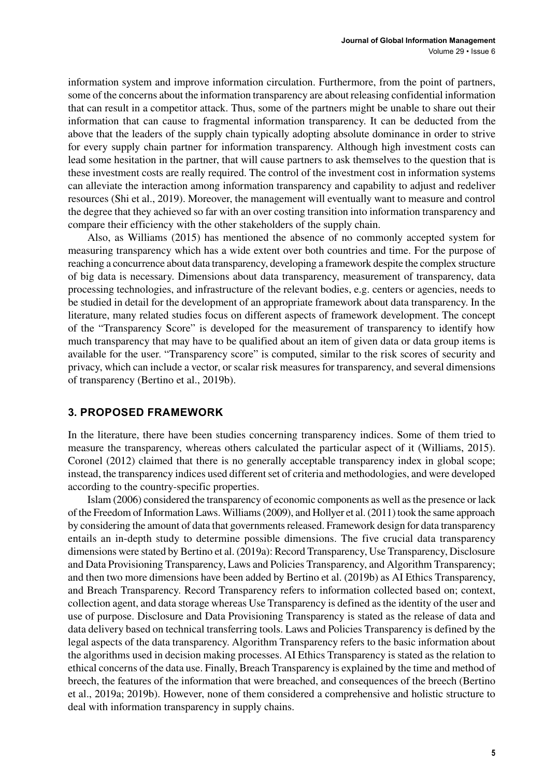information system and improve information circulation. Furthermore, from the point of partners, some of the concerns about the information transparency are about releasing confidential information that can result in a competitor attack. Thus, some of the partners might be unable to share out their information that can cause to fragmental information transparency. It can be deducted from the above that the leaders of the supply chain typically adopting absolute dominance in order to strive for every supply chain partner for information transparency. Although high investment costs can lead some hesitation in the partner, that will cause partners to ask themselves to the question that is these investment costs are really required. The control of the investment cost in information systems can alleviate the interaction among information transparency and capability to adjust and redeliver resources (Shi et al., 2019). Moreover, the management will eventually want to measure and control the degree that they achieved so far with an over costing transition into information transparency and compare their efficiency with the other stakeholders of the supply chain.

Also, as Williams (2015) has mentioned the absence of no commonly accepted system for measuring transparency which has a wide extent over both countries and time. For the purpose of reaching a concurrence about data transparency, developing a framework despite the complex structure of big data is necessary. Dimensions about data transparency, measurement of transparency, data processing technologies, and infrastructure of the relevant bodies, e.g. centers or agencies, needs to be studied in detail for the development of an appropriate framework about data transparency. In the literature, many related studies focus on different aspects of framework development. The concept of the "Transparency Score" is developed for the measurement of transparency to identify how much transparency that may have to be qualified about an item of given data or data group items is available for the user. "Transparency score" is computed, similar to the risk scores of security and privacy, which can include a vector, or scalar risk measures for transparency, and several dimensions of transparency (Bertino et al., 2019b).

# **3. PROPOSED FRAMEWORK**

In the literature, there have been studies concerning transparency indices. Some of them tried to measure the transparency, whereas others calculated the particular aspect of it (Williams, 2015). Coronel (2012) claimed that there is no generally acceptable transparency index in global scope; instead, the transparency indices used different set of criteria and methodologies, and were developed according to the country-specific properties.

Islam (2006) considered the transparency of economic components as well as the presence or lack of the Freedom of Information Laws. Williams (2009), and Hollyer et al. (2011) took the same approach by considering the amount of data that governments released. Framework design for data transparency entails an in-depth study to determine possible dimensions. The five crucial data transparency dimensions were stated by Bertino et al. (2019a): Record Transparency, Use Transparency, Disclosure and Data Provisioning Transparency, Laws and Policies Transparency, and Algorithm Transparency; and then two more dimensions have been added by Bertino et al. (2019b) as AI Ethics Transparency, and Breach Transparency. Record Transparency refers to information collected based on; context, collection agent, and data storage whereas Use Transparency is defined as the identity of the user and use of purpose. Disclosure and Data Provisioning Transparency is stated as the release of data and data delivery based on technical transferring tools. Laws and Policies Transparency is defined by the legal aspects of the data transparency. Algorithm Transparency refers to the basic information about the algorithms used in decision making processes. AI Ethics Transparency is stated as the relation to ethical concerns of the data use. Finally, Breach Transparency is explained by the time and method of breech, the features of the information that were breached, and consequences of the breech (Bertino et al., 2019a; 2019b). However, none of them considered a comprehensive and holistic structure to deal with information transparency in supply chains.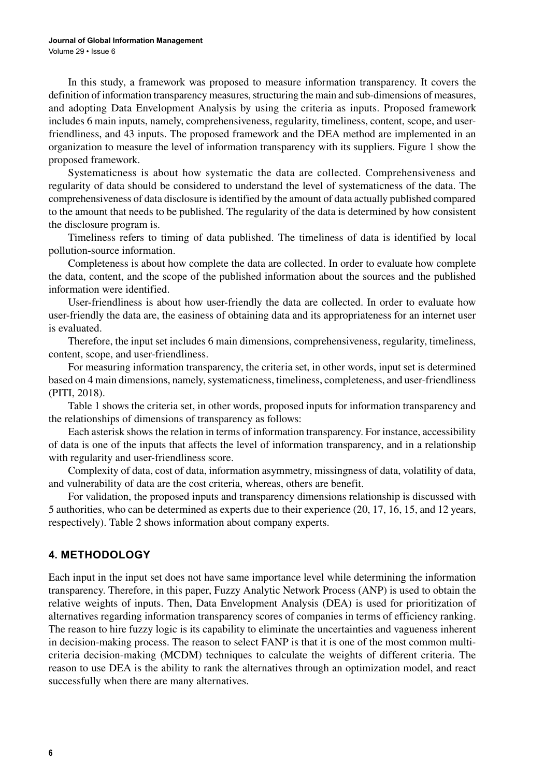In this study, a framework was proposed to measure information transparency. It covers the definition of information transparency measures, structuring the main and sub-dimensions of measures, and adopting Data Envelopment Analysis by using the criteria as inputs. Proposed framework includes 6 main inputs, namely, comprehensiveness, regularity, timeliness, content, scope, and userfriendliness, and 43 inputs. The proposed framework and the DEA method are implemented in an organization to measure the level of information transparency with its suppliers. Figure 1 show the proposed framework.

Systematicness is about how systematic the data are collected. Comprehensiveness and regularity of data should be considered to understand the level of systematicness of the data. The comprehensiveness of data disclosure is identified by the amount of data actually published compared to the amount that needs to be published. The regularity of the data is determined by how consistent the disclosure program is.

Timeliness refers to timing of data published. The timeliness of data is identified by local pollution-source information.

Completeness is about how complete the data are collected. In order to evaluate how complete the data, content, and the scope of the published information about the sources and the published information were identified.

User-friendliness is about how user-friendly the data are collected. In order to evaluate how user-friendly the data are, the easiness of obtaining data and its appropriateness for an internet user is evaluated.

Therefore, the input set includes 6 main dimensions, comprehensiveness, regularity, timeliness, content, scope, and user-friendliness.

For measuring information transparency, the criteria set, in other words, input set is determined based on 4 main dimensions, namely, systematicness, timeliness, completeness, and user-friendliness (PITI, 2018).

Table 1 shows the criteria set, in other words, proposed inputs for information transparency and the relationships of dimensions of transparency as follows:

Each asterisk shows the relation in terms of information transparency. For instance, accessibility of data is one of the inputs that affects the level of information transparency, and in a relationship with regularity and user-friendliness score.

Complexity of data, cost of data, information asymmetry, missingness of data, volatility of data, and vulnerability of data are the cost criteria, whereas, others are benefit.

For validation, the proposed inputs and transparency dimensions relationship is discussed with 5 authorities, who can be determined as experts due to their experience (20, 17, 16, 15, and 12 years, respectively). Table 2 shows information about company experts.

# **4. METHODOLOGY**

Each input in the input set does not have same importance level while determining the information transparency. Therefore, in this paper, Fuzzy Analytic Network Process (ANP) is used to obtain the relative weights of inputs. Then, Data Envelopment Analysis (DEA) is used for prioritization of alternatives regarding information transparency scores of companies in terms of efficiency ranking. The reason to hire fuzzy logic is its capability to eliminate the uncertainties and vagueness inherent in decision-making process. The reason to select FANP is that it is one of the most common multicriteria decision-making (MCDM) techniques to calculate the weights of different criteria. The reason to use DEA is the ability to rank the alternatives through an optimization model, and react successfully when there are many alternatives.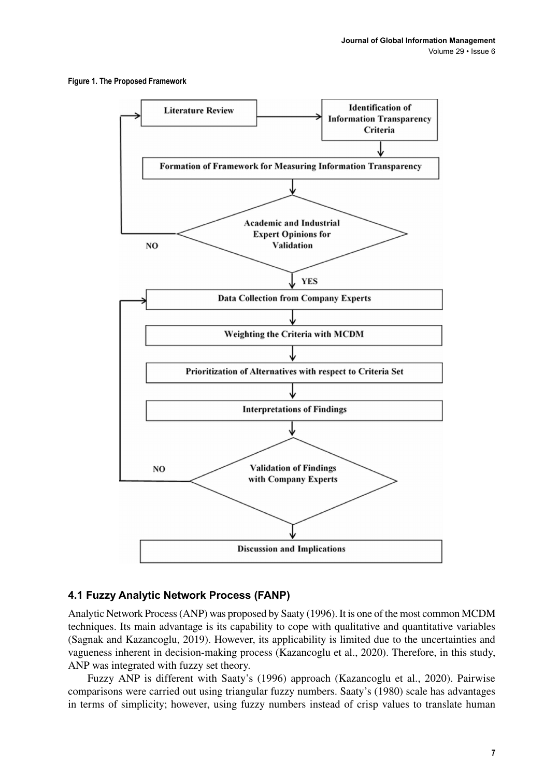#### **Figure 1. The Proposed Framework**



## **4.1 Fuzzy Analytic Network Process (FANP)**

Analytic Network Process (ANP) was proposed by Saaty (1996). It is one of the most common MCDM techniques. Its main advantage is its capability to cope with qualitative and quantitative variables (Sagnak and Kazancoglu, 2019). However, its applicability is limited due to the uncertainties and vagueness inherent in decision-making process (Kazancoglu et al., 2020). Therefore, in this study, ANP was integrated with fuzzy set theory.

Fuzzy ANP is different with Saaty's (1996) approach (Kazancoglu et al., 2020). Pairwise comparisons were carried out using triangular fuzzy numbers. Saaty's (1980) scale has advantages in terms of simplicity; however, using fuzzy numbers instead of crisp values to translate human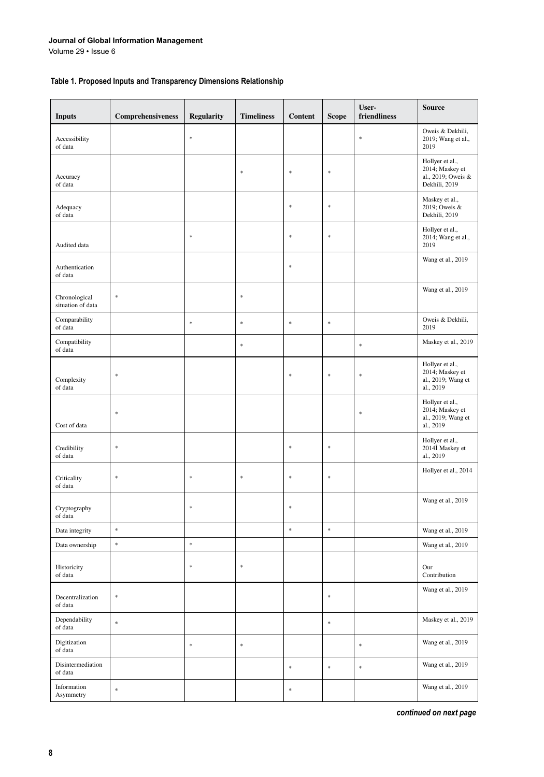## **Table 1. Proposed Inputs and Transparency Dimensions Relationship**

| <b>Inputs</b>                      | Comprehensiveness | <b>Regularity</b> | <b>Timeliness</b> | <b>Content</b> | <b>Scope</b> | User-<br>friendliness | <b>Source</b>                                                             |
|------------------------------------|-------------------|-------------------|-------------------|----------------|--------------|-----------------------|---------------------------------------------------------------------------|
| Accessibility<br>of data           |                   | $\ast$            |                   |                |              | $\ast$                | Oweis & Dekhili,<br>2019; Wang et al.,<br>2019                            |
| Accuracy<br>of data                |                   |                   | \$.               | $\ast$         | $\ast$       |                       | Hollyer et al.,<br>2014; Maskey et<br>al., 2019; Oweis &<br>Dekhili, 2019 |
| Adequacy<br>of data                |                   |                   |                   | $\approx$      | $\ast$       |                       | Maskey et al.,<br>2019; Oweis &<br>Dekhili, 2019                          |
| Audited data                       |                   | $\ast$            |                   | $\ast$         | $\ast$       |                       | Hollyer et al.,<br>2014; Wang et al.,<br>2019                             |
| Authentication<br>of data          |                   |                   |                   | $\ast$         |              |                       | Wang et al., 2019                                                         |
| Chronological<br>situation of data | $\ast$            |                   | *                 |                |              |                       | Wang et al., 2019                                                         |
| Comparability<br>of data           |                   | $\ast$            | *                 | $\approx$      | $\ast$       |                       | Oweis & Dekhili,<br>2019                                                  |
| Compatibility<br>of data           |                   |                   | *                 |                |              | $\ast$                | Maskey et al., 2019                                                       |
| Complexity<br>of data              | *                 |                   |                   | $\ast$         | $\ast$       | $\ast$                | Hollyer et al.,<br>2014; Maskey et<br>al., 2019; Wang et<br>al., 2019     |
| Cost of data                       | $\ast$            |                   |                   |                |              | $\ast$                | Hollyer et al.,<br>2014; Maskey et<br>al., 2019; Wang et<br>al., 2019     |
| Credibility<br>of data             | $\ast$            |                   |                   | $\ast$         | $\ast$       |                       | Hollyer et al.,<br>2014İ Maskey et<br>al., 2019                           |
| Criticality<br>of data             | $\ast$            | $\ast$            | *                 | $\ast$         | $\ast$       |                       | Hollyer et al., 2014                                                      |
| Cryptography<br>of data            |                   | $\ast$            |                   | $\ast$         |              |                       | Wang et al., 2019                                                         |
| Data integrity                     | $\ast$            |                   |                   | $\approx$      | $\ast$       |                       | Wang et al., 2019                                                         |
| Data ownership                     | $\ast$            | $\ast$            |                   |                |              |                       | Wang et al., 2019                                                         |
| Historicity<br>of data             |                   | $\ast$            | *                 |                |              |                       | Our<br>Contribution                                                       |
| Decentralization<br>of data        | $\ast$            |                   |                   |                | $\ast$       |                       | Wang et al., 2019                                                         |
| Dependability<br>of data           | $\ast$            |                   |                   |                | $\ast$       |                       | Maskey et al., 2019                                                       |
| Digitization<br>of data            |                   | $\ast$            | $\ast$            |                |              | $\ast$                | Wang et al., 2019                                                         |
| Disintermediation<br>of data       |                   |                   |                   | $\approx$      | $\ast$       | $\ast$                | Wang et al., 2019                                                         |
| Information<br>Asymmetry           | $\ast$            |                   |                   | $\approx$      |              |                       | Wang et al., 2019                                                         |

*continued on next page*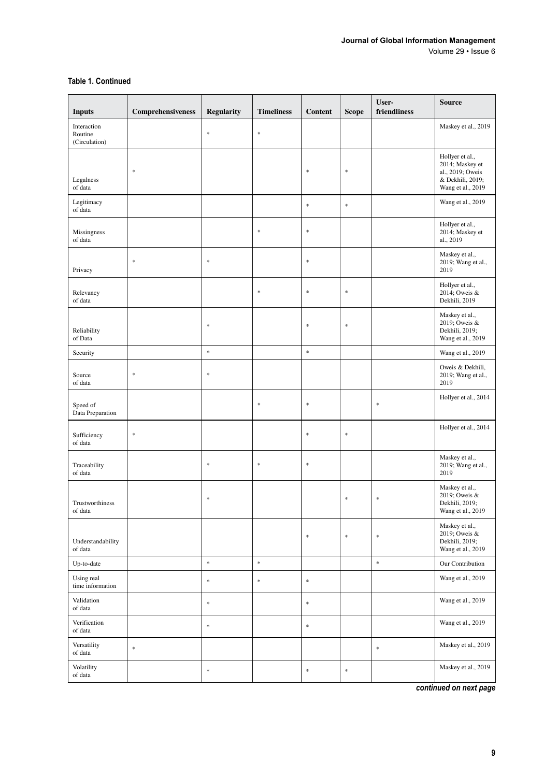Volume 29 • Issue 6

## **Table 1. Continued**

| <b>Inputs</b>                           | Comprehensiveness | <b>Regularity</b> | <b>Timeliness</b> | Content | <b>Scope</b> | User-<br>friendliness | <b>Source</b>                                                                                   |
|-----------------------------------------|-------------------|-------------------|-------------------|---------|--------------|-----------------------|-------------------------------------------------------------------------------------------------|
| Interaction<br>Routine<br>(Circulation) |                   | $\ast$            | $\ast$            |         |              |                       | Maskey et al., 2019                                                                             |
| Legalness<br>of data                    | $\ast$            |                   |                   | $\ast$  | $\ast$       |                       | Hollyer et al.,<br>2014; Maskey et<br>al., 2019; Oweis<br>& Dekhili, 2019;<br>Wang et al., 2019 |
| Legitimacy<br>of data                   |                   |                   |                   | $\ast$  | $\ast$       |                       | Wang et al., 2019                                                                               |
| <b>Missingness</b><br>of data           |                   |                   | $\ast$            | $\ast$  |              |                       | Hollyer et al.,<br>2014; Maskey et<br>al., 2019                                                 |
| Privacy                                 | $\ast$            | $\ast$            |                   | $\ast$  |              |                       | Maskey et al.,<br>2019; Wang et al.,<br>2019                                                    |
| Relevancy<br>of data                    |                   |                   | $\ast$            | $\ast$  | $\ast$       |                       | Hollyer et al.,<br>2014; Oweis &<br>Dekhili, 2019                                               |
| Reliability<br>of Data                  |                   | $\ast$            |                   | $\ast$  | $\ast$       |                       | Maskey et al.,<br>2019; Oweis &<br>Dekhili, 2019;<br>Wang et al., 2019                          |
| Security                                |                   | $\ast$            |                   | $\ast$  |              |                       | Wang et al., 2019                                                                               |
| Source<br>of data                       | $\ast$            | $\ast$            |                   |         |              |                       | Oweis & Dekhili,<br>2019; Wang et al.,<br>2019                                                  |
| Speed of<br>Data Preparation            |                   |                   | $\ast$            | $\ast$  |              | $\ast$                | Hollyer et al., 2014                                                                            |
| Sufficiency<br>of data                  | $\ast$            |                   |                   | $\ast$  | $\ast$       |                       | Hollyer et al., 2014                                                                            |
| Traceability<br>of data                 |                   | $\ast$            | $\ast$            | $\ast$  |              |                       | Maskey et al.,<br>2019; Wang et al.,<br>2019                                                    |
| Trustworthiness<br>of data              |                   | $\ast$            |                   |         | $\ast$       | $\ast$                | Maskey et al.,<br>2019; Oweis &<br>Dekhili, 2019;<br>Wang et al., 2019                          |
| Understandability<br>of data            |                   |                   |                   | $\ast$  | $\ast$       | $\ast$                | Maskey et al.,<br>2019; Oweis &<br>Dekhili, 2019;<br>Wang et al., 2019                          |
| Up-to-date                              |                   | *                 | $\ast$            |         |              | $\ast$                | Our Contribution                                                                                |
| Using real<br>time information          |                   | $\ast$            | $\ast$            | $\ast$  |              |                       | Wang et al., 2019                                                                               |
| Validation<br>of data                   |                   | $\ast$            |                   | $\ast$  |              |                       | Wang et al., 2019                                                                               |
| Verification<br>of data                 |                   | *                 |                   | $\ast$  |              |                       | Wang et al., 2019                                                                               |
| Versatility<br>of data                  | $\ast$            |                   |                   |         |              | $\ast$                | Maskey et al., 2019                                                                             |
| Volatility<br>of data                   |                   | $\ast$            |                   | $\ast$  | $\ast$       |                       | Maskey et al., 2019                                                                             |

*continued on next page*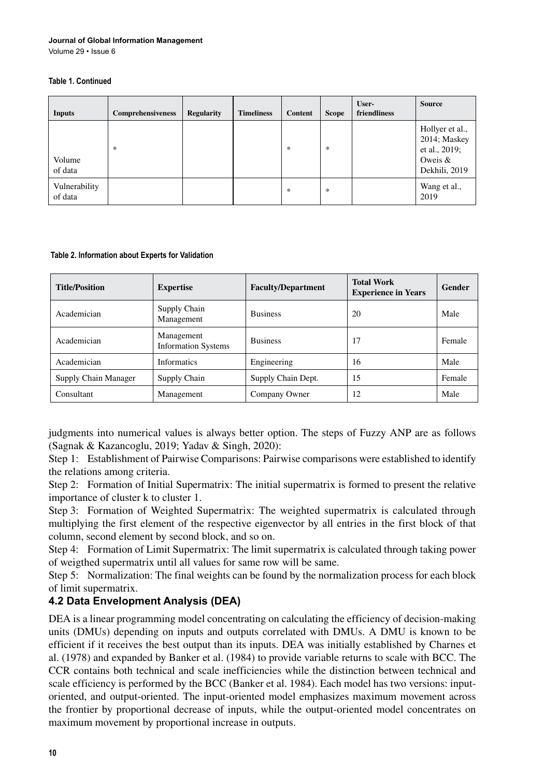Volume 29 • Issue 6

## **Table 1. Continued**

| <b>Inputs</b>            | Comprehensiveness | <b>Regularity</b> | <b>Timeliness</b> | <b>Content</b> | <b>Scope</b> | User-<br>friendliness | <b>Source</b>                                                                  |
|--------------------------|-------------------|-------------------|-------------------|----------------|--------------|-----------------------|--------------------------------------------------------------------------------|
| Volume<br>of data        | 宋                 |                   |                   | $\ast$         | $*$          |                       | Hollyer et al.,<br>2014; Maskey<br>et al., 2019;<br>Oweis $&$<br>Dekhili, 2019 |
| Vulnerability<br>of data |                   |                   |                   | $\ast$         | $*$          |                       | Wang et al.,<br>2019                                                           |

### **Table 2. Information about Experts for Validation**

| <b>Title/Position</b> | <b>Expertise</b>                         | <b>Faculty/Department</b> | <b>Total Work</b><br><b>Experience in Years</b> | Gender |
|-----------------------|------------------------------------------|---------------------------|-------------------------------------------------|--------|
| Academician           | Supply Chain<br>Management               | <b>Business</b>           | 20                                              | Male   |
| Academician           | Management<br><b>Information Systems</b> | <b>Business</b>           | 17                                              | Female |
| Academician           | <b>Informatics</b>                       | Engineering               | 16                                              | Male   |
| Supply Chain Manager  | Supply Chain                             | Supply Chain Dept.        | 15                                              | Female |
| Consultant            | Management                               | Company Owner             | 12                                              | Male   |

judgments into numerical values is always better option. The steps of Fuzzy ANP are as follows (Sagnak & Kazancoglu, 2019; Yadav & Singh, 2020):

Step 1: Establishment of Pairwise Comparisons: Pairwise comparisons were established to identify the relations among criteria.

Step 2: Formation of Initial Supermatrix: The initial supermatrix is formed to present the relative importance of cluster k to cluster 1.

Step 3: Formation of Weighted Supermatrix: The weighted supermatrix is calculated through multiplying the first element of the respective eigenvector by all entries in the first block of that column, second element by second block, and so on.

Step 4: Formation of Limit Supermatrix: The limit supermatrix is calculated through taking power of weigthed supermatrix until all values for same row will be same.

Step 5: Normalization: The final weights can be found by the normalization process for each block of limit supermatrix.

# **4.2 Data Envelopment Analysis (DEA)**

DEA is a linear programming model concentrating on calculating the efficiency of decision-making units (DMUs) depending on inputs and outputs correlated with DMUs. A DMU is known to be efficient if it receives the best output than its inputs. DEA was initially established by Charnes et al. (1978) and expanded by Banker et al. (1984) to provide variable returns to scale with BCC. The CCR contains both technical and scale inefficiencies while the distinction between technical and scale efficiency is performed by the BCC (Banker et al. 1984). Each model has two versions: inputoriented, and output-oriented. The input-oriented model emphasizes maximum movement across the frontier by proportional decrease of inputs, while the output-oriented model concentrates on maximum movement by proportional increase in outputs.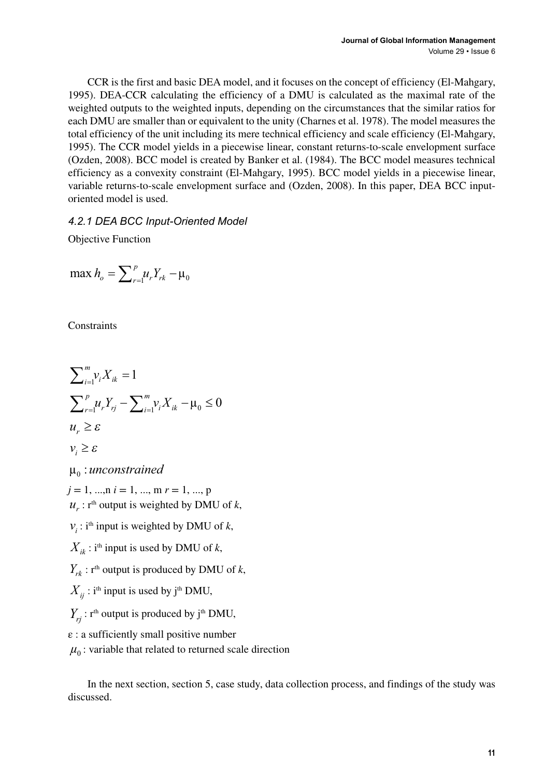CCR is the first and basic DEA model, and it focuses on the concept of efficiency (El-Mahgary, 1995). DEA-CCR calculating the efficiency of a DMU is calculated as the maximal rate of the weighted outputs to the weighted inputs, depending on the circumstances that the similar ratios for each DMU are smaller than or equivalent to the unity (Charnes et al. 1978). The model measures the total efficiency of the unit including its mere technical efficiency and scale efficiency (El-Mahgary, 1995). The CCR model yields in a piecewise linear, constant returns-to-scale envelopment surface (Ozden, 2008). BCC model is created by Banker et al. (1984). The BCC model measures technical efficiency as a convexity constraint (El-Mahgary, 1995). BCC model yields in a piecewise linear, variable returns-to-scale envelopment surface and (Ozden, 2008). In this paper, DEA BCC inputoriented model is used.

# *4.2.1 DEA BCC Input-Oriented Model*

Objective Function

 $\max h_o = \sum_{r=1}^{p} u_r Y_{rk} - \mu_o$ 

**Constraints** 

$$
\sum_{i=1}^{m} v_i X_{ik} = 1
$$
  
\n
$$
\sum_{r=1}^{p} u_r Y_{rj} - \sum_{i=1}^{m} v_i X_{ik} - \mu_0 \le 0
$$
  
\n
$$
u_r \ge \varepsilon
$$
  
\n
$$
\mu_0 : unconstrained
$$
  
\n
$$
j = 1, ..., n \quad i = 1, ..., m \quad r = 1, ..., p
$$
  
\n
$$
u_r : r^{\text{th}} \text{ output is weighted by DMU of } k,
$$
  
\n
$$
v_i : i^{\text{th}} \text{ input is weighted by DMU of } k,
$$

 $X_{ik}$ : i<sup>th</sup> input is used by DMU of *k*,

 $Y_{rk}$ : r<sup>th</sup> output is produced by DMU of *k*,

 $X_{ii}$ : i<sup>th</sup> input is used by j<sup>th</sup> DMU,

 $Y_{ri}$ : r<sup>th</sup> output is produced by j<sup>th</sup> DMU,

ε : a sufficiently small positive number

 $\mu_0$ : variable that related to returned scale direction

In the next section, section 5, case study, data collection process, and findings of the study was discussed.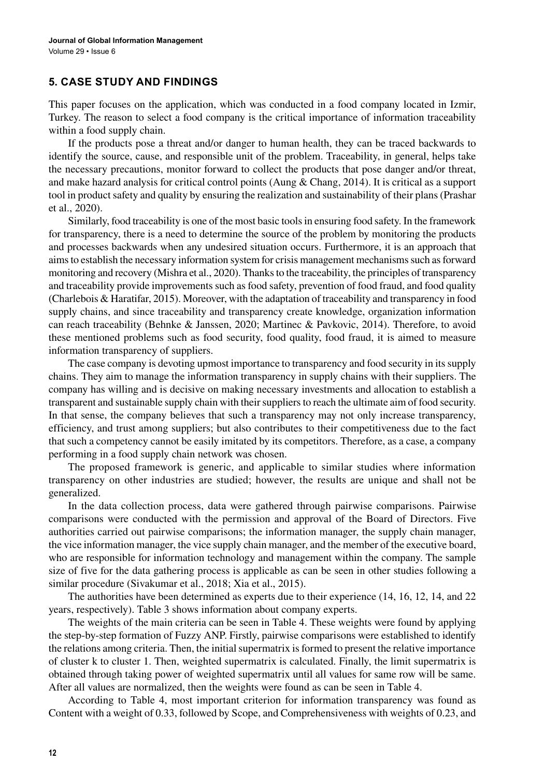# **5. CASE STUDY AND FINDINGS**

This paper focuses on the application, which was conducted in a food company located in Izmir, Turkey. The reason to select a food company is the critical importance of information traceability within a food supply chain.

If the products pose a threat and/or danger to human health, they can be traced backwards to identify the source, cause, and responsible unit of the problem. Traceability, in general, helps take the necessary precautions, monitor forward to collect the products that pose danger and/or threat, and make hazard analysis for critical control points (Aung & Chang, 2014). It is critical as a support tool in product safety and quality by ensuring the realization and sustainability of their plans (Prashar et al., 2020).

Similarly, food traceability is one of the most basic tools in ensuring food safety. In the framework for transparency, there is a need to determine the source of the problem by monitoring the products and processes backwards when any undesired situation occurs. Furthermore, it is an approach that aims to establish the necessary information system for crisis management mechanisms such as forward monitoring and recovery (Mishra et al., 2020). Thanks to the traceability, the principles of transparency and traceability provide improvements such as food safety, prevention of food fraud, and food quality (Charlebois & Haratifar, 2015). Moreover, with the adaptation of traceability and transparency in food supply chains, and since traceability and transparency create knowledge, organization information can reach traceability (Behnke & Janssen, 2020; Martinec & Pavkovic, 2014). Therefore, to avoid these mentioned problems such as food security, food quality, food fraud, it is aimed to measure information transparency of suppliers.

The case company is devoting upmost importance to transparency and food security in its supply chains. They aim to manage the information transparency in supply chains with their suppliers. The company has willing and is decisive on making necessary investments and allocation to establish a transparent and sustainable supply chain with their suppliers to reach the ultimate aim of food security. In that sense, the company believes that such a transparency may not only increase transparency, efficiency, and trust among suppliers; but also contributes to their competitiveness due to the fact that such a competency cannot be easily imitated by its competitors. Therefore, as a case, a company performing in a food supply chain network was chosen.

The proposed framework is generic, and applicable to similar studies where information transparency on other industries are studied; however, the results are unique and shall not be generalized.

In the data collection process, data were gathered through pairwise comparisons. Pairwise comparisons were conducted with the permission and approval of the Board of Directors. Five authorities carried out pairwise comparisons; the information manager, the supply chain manager, the vice information manager, the vice supply chain manager, and the member of the executive board, who are responsible for information technology and management within the company. The sample size of five for the data gathering process is applicable as can be seen in other studies following a similar procedure (Sivakumar et al., 2018; Xia et al., 2015).

The authorities have been determined as experts due to their experience (14, 16, 12, 14, and 22 years, respectively). Table 3 shows information about company experts.

The weights of the main criteria can be seen in Table 4. These weights were found by applying the step-by-step formation of Fuzzy ANP. Firstly, pairwise comparisons were established to identify the relations among criteria. Then, the initial supermatrix is formed to present the relative importance of cluster k to cluster 1. Then, weighted supermatrix is calculated. Finally, the limit supermatrix is obtained through taking power of weighted supermatrix until all values for same row will be same. After all values are normalized, then the weights were found as can be seen in Table 4.

According to Table 4, most important criterion for information transparency was found as Content with a weight of 0.33, followed by Scope, and Comprehensiveness with weights of 0.23, and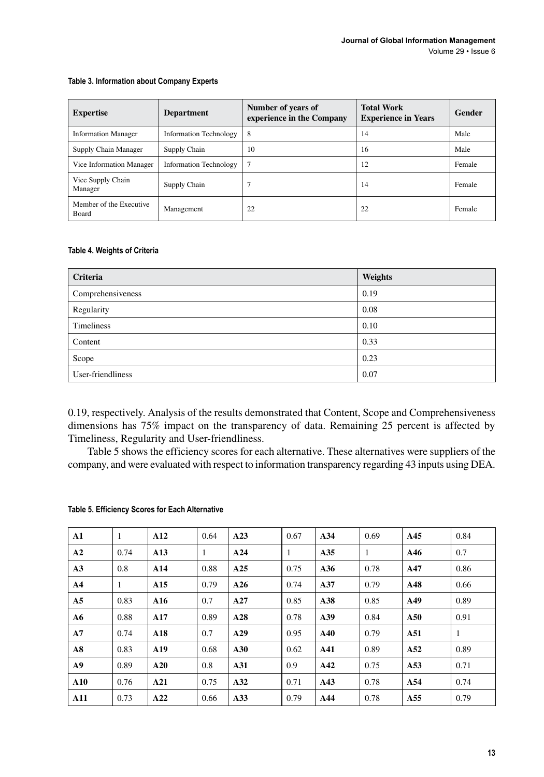| <b>Expertise</b>                                          | <b>Department</b>             | Number of years of<br>experience in the Company | <b>Total Work</b><br><b>Experience in Years</b> | Gender |
|-----------------------------------------------------------|-------------------------------|-------------------------------------------------|-------------------------------------------------|--------|
| <b>Information Manager</b>                                | <b>Information Technology</b> | 8                                               | 14                                              | Male   |
| Supply Chain Manager<br>Supply Chain                      |                               | 10                                              | 16                                              | Male   |
| <b>Information Technology</b><br>Vice Information Manager |                               |                                                 | 12                                              | Female |
| Vice Supply Chain<br>Manager                              | Supply Chain                  |                                                 | 14                                              | Female |
| Member of the Executive<br>Management<br><b>Board</b>     |                               | 22                                              | 22                                              | Female |

#### **Table 3. Information about Company Experts**

## **Table 4. Weights of Criteria**

| Criteria          | Weights |
|-------------------|---------|
| Comprehensiveness | 0.19    |
| Regularity        | 0.08    |
| Timeliness        | 0.10    |
| Content           | 0.33    |
| Scope             | 0.23    |
| User-friendliness | 0.07    |

0.19, respectively. Analysis of the results demonstrated that Content, Scope and Comprehensiveness dimensions has 75% impact on the transparency of data. Remaining 25 percent is affected by Timeliness, Regularity and User-friendliness.

Table 5 shows the efficiency scores for each alternative. These alternatives were suppliers of the company, and were evaluated with respect to information transparency regarding 43 inputs using DEA.

| ${\bf A1}$     | 1    | A12 | 0.64           | A23 | 0.67         | A34 | 0.69 | A45 | 0.84 |
|----------------|------|-----|----------------|-----|--------------|-----|------|-----|------|
| A2             | 0.74 | A13 | $\overline{1}$ | A24 | $\mathbf{1}$ | A35 | -1   | A46 | 0.7  |
| A3             | 0.8  | A14 | 0.88           | A25 | 0.75         | A36 | 0.78 | A47 | 0.86 |
| A <sub>4</sub> | -1   | A15 | 0.79           | A26 | 0.74         | A37 | 0.79 | A48 | 0.66 |
| A <sub>5</sub> | 0.83 | A16 | 0.7            | A27 | 0.85         | A38 | 0.85 | A49 | 0.89 |
| A6             | 0.88 | A17 | 0.89           | A28 | 0.78         | A39 | 0.84 | A50 | 0.91 |
| A7             | 0.74 | A18 | 0.7            | A29 | 0.95         | A40 | 0.79 | A51 | -1   |
| A8             | 0.83 | A19 | 0.68           | A30 | 0.62         | A41 | 0.89 | A52 | 0.89 |
| A9             | 0.89 | A20 | 0.8            | A31 | 0.9          | A42 | 0.75 | A53 | 0.71 |
| A10            | 0.76 | A21 | 0.75           | A32 | 0.71         | A43 | 0.78 | A54 | 0.74 |
| A11            | 0.73 | A22 | 0.66           | A33 | 0.79         | A44 | 0.78 | A55 | 0.79 |

### **Table 5. Efficiency Scores for Each Alternative**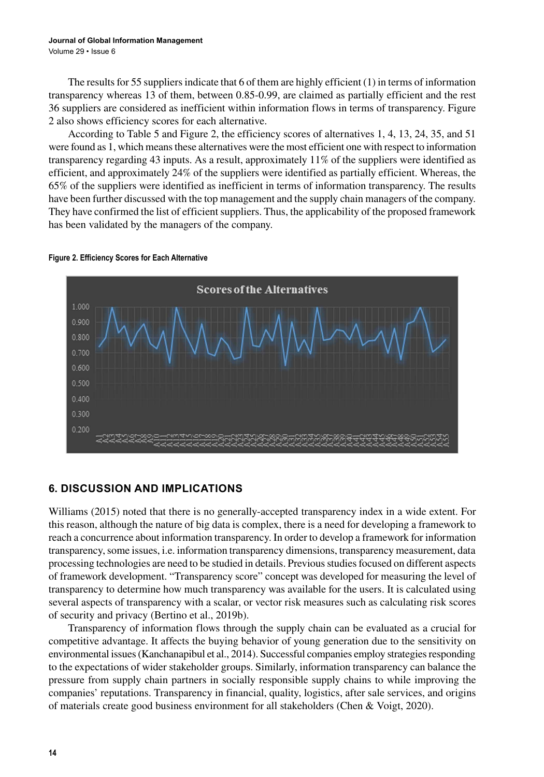The results for 55 suppliers indicate that 6 of them are highly efficient (1) in terms of information transparency whereas 13 of them, between 0.85-0.99, are claimed as partially efficient and the rest 36 suppliers are considered as inefficient within information flows in terms of transparency. Figure 2 also shows efficiency scores for each alternative.

According to Table 5 and Figure 2, the efficiency scores of alternatives 1, 4, 13, 24, 35, and 51 were found as 1, which means these alternatives were the most efficient one with respect to information transparency regarding 43 inputs. As a result, approximately 11% of the suppliers were identified as efficient, and approximately 24% of the suppliers were identified as partially efficient. Whereas, the 65% of the suppliers were identified as inefficient in terms of information transparency. The results have been further discussed with the top management and the supply chain managers of the company. They have confirmed the list of efficient suppliers. Thus, the applicability of the proposed framework has been validated by the managers of the company.



#### **Figure 2. Efficiency Scores for Each Alternative**

# **6. DISCUSSION AND IMPLICATIONS**

Williams (2015) noted that there is no generally-accepted transparency index in a wide extent. For this reason, although the nature of big data is complex, there is a need for developing a framework to reach a concurrence about information transparency. In order to develop a framework for information transparency, some issues, i.e. information transparency dimensions, transparency measurement, data processing technologies are need to be studied in details. Previous studies focused on different aspects of framework development. "Transparency score" concept was developed for measuring the level of transparency to determine how much transparency was available for the users. It is calculated using several aspects of transparency with a scalar, or vector risk measures such as calculating risk scores of security and privacy (Bertino et al., 2019b).

Transparency of information flows through the supply chain can be evaluated as a crucial for competitive advantage. It affects the buying behavior of young generation due to the sensitivity on environmental issues (Kanchanapibul et al., 2014). Successful companies employ strategies responding to the expectations of wider stakeholder groups. Similarly, information transparency can balance the pressure from supply chain partners in socially responsible supply chains to while improving the companies' reputations. Transparency in financial, quality, logistics, after sale services, and origins of materials create good business environment for all stakeholders (Chen & Voigt, 2020).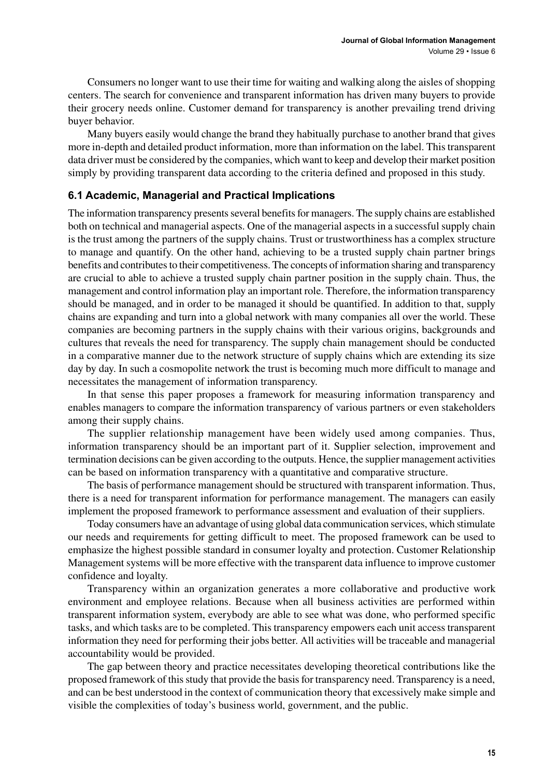Consumers no longer want to use their time for waiting and walking along the aisles of shopping centers. The search for convenience and transparent information has driven many buyers to provide their grocery needs online. Customer demand for transparency is another prevailing trend driving buyer behavior.

Many buyers easily would change the brand they habitually purchase to another brand that gives more in-depth and detailed product information, more than information on the label. This transparent data driver must be considered by the companies, which want to keep and develop their market position simply by providing transparent data according to the criteria defined and proposed in this study.

# **6.1 Academic, Managerial and Practical Implications**

The information transparency presents several benefits for managers. The supply chains are established both on technical and managerial aspects. One of the managerial aspects in a successful supply chain is the trust among the partners of the supply chains. Trust or trustworthiness has a complex structure to manage and quantify. On the other hand, achieving to be a trusted supply chain partner brings benefits and contributes to their competitiveness. The concepts of information sharing and transparency are crucial to able to achieve a trusted supply chain partner position in the supply chain. Thus, the management and control information play an important role. Therefore, the information transparency should be managed, and in order to be managed it should be quantified. In addition to that, supply chains are expanding and turn into a global network with many companies all over the world. These companies are becoming partners in the supply chains with their various origins, backgrounds and cultures that reveals the need for transparency. The supply chain management should be conducted in a comparative manner due to the network structure of supply chains which are extending its size day by day. In such a cosmopolite network the trust is becoming much more difficult to manage and necessitates the management of information transparency.

In that sense this paper proposes a framework for measuring information transparency and enables managers to compare the information transparency of various partners or even stakeholders among their supply chains.

The supplier relationship management have been widely used among companies. Thus, information transparency should be an important part of it. Supplier selection, improvement and termination decisions can be given according to the outputs. Hence, the supplier management activities can be based on information transparency with a quantitative and comparative structure.

The basis of performance management should be structured with transparent information. Thus, there is a need for transparent information for performance management. The managers can easily implement the proposed framework to performance assessment and evaluation of their suppliers.

Today consumers have an advantage of using global data communication services, which stimulate our needs and requirements for getting difficult to meet. The proposed framework can be used to emphasize the highest possible standard in consumer loyalty and protection. Customer Relationship Management systems will be more effective with the transparent data influence to improve customer confidence and loyalty.

Transparency within an organization generates a more collaborative and productive work environment and employee relations. Because when all business activities are performed within transparent information system, everybody are able to see what was done, who performed specific tasks, and which tasks are to be completed. This transparency empowers each unit access transparent information they need for performing their jobs better. All activities will be traceable and managerial accountability would be provided.

The gap between theory and practice necessitates developing theoretical contributions like the proposed framework of this study that provide the basis for transparency need. Transparency is a need, and can be best understood in the context of communication theory that excessively make simple and visible the complexities of today's business world, government, and the public.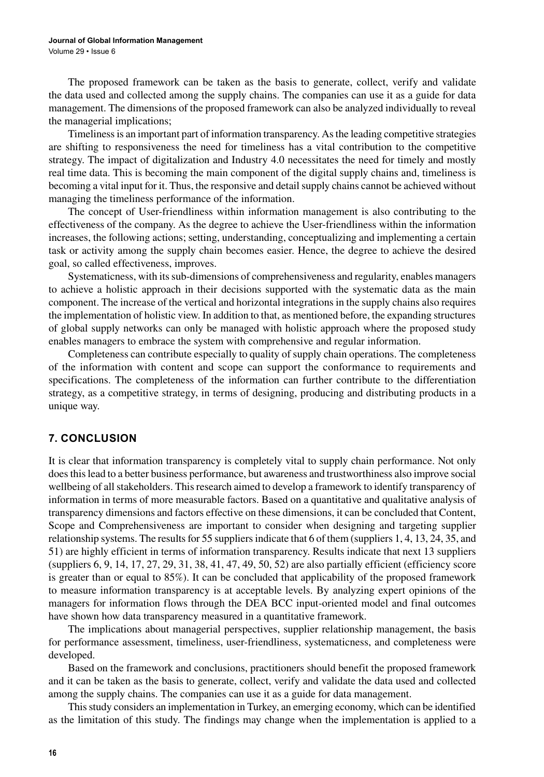The proposed framework can be taken as the basis to generate, collect, verify and validate the data used and collected among the supply chains. The companies can use it as a guide for data management. The dimensions of the proposed framework can also be analyzed individually to reveal the managerial implications;

Timeliness is an important part of information transparency. As the leading competitive strategies are shifting to responsiveness the need for timeliness has a vital contribution to the competitive strategy. The impact of digitalization and Industry 4.0 necessitates the need for timely and mostly real time data. This is becoming the main component of the digital supply chains and, timeliness is becoming a vital input for it. Thus, the responsive and detail supply chains cannot be achieved without managing the timeliness performance of the information.

The concept of User-friendliness within information management is also contributing to the effectiveness of the company. As the degree to achieve the User-friendliness within the information increases, the following actions; setting, understanding, conceptualizing and implementing a certain task or activity among the supply chain becomes easier. Hence, the degree to achieve the desired goal, so called effectiveness, improves.

Systematicness, with its sub-dimensions of comprehensiveness and regularity, enables managers to achieve a holistic approach in their decisions supported with the systematic data as the main component. The increase of the vertical and horizontal integrations in the supply chains also requires the implementation of holistic view. In addition to that, as mentioned before, the expanding structures of global supply networks can only be managed with holistic approach where the proposed study enables managers to embrace the system with comprehensive and regular information.

Completeness can contribute especially to quality of supply chain operations. The completeness of the information with content and scope can support the conformance to requirements and specifications. The completeness of the information can further contribute to the differentiation strategy, as a competitive strategy, in terms of designing, producing and distributing products in a unique way.

# **7. CONCLUSION**

It is clear that information transparency is completely vital to supply chain performance. Not only does this lead to a better business performance, but awareness and trustworthiness also improve social wellbeing of all stakeholders. This research aimed to develop a framework to identify transparency of information in terms of more measurable factors. Based on a quantitative and qualitative analysis of transparency dimensions and factors effective on these dimensions, it can be concluded that Content, Scope and Comprehensiveness are important to consider when designing and targeting supplier relationship systems. The results for 55 suppliers indicate that 6 of them (suppliers 1, 4, 13, 24, 35, and 51) are highly efficient in terms of information transparency. Results indicate that next 13 suppliers (suppliers 6, 9, 14, 17, 27, 29, 31, 38, 41, 47, 49, 50, 52) are also partially efficient (efficiency score is greater than or equal to 85%). It can be concluded that applicability of the proposed framework to measure information transparency is at acceptable levels. By analyzing expert opinions of the managers for information flows through the DEA BCC input-oriented model and final outcomes have shown how data transparency measured in a quantitative framework.

The implications about managerial perspectives, supplier relationship management, the basis for performance assessment, timeliness, user-friendliness, systematicness, and completeness were developed.

Based on the framework and conclusions, practitioners should benefit the proposed framework and it can be taken as the basis to generate, collect, verify and validate the data used and collected among the supply chains. The companies can use it as a guide for data management.

This study considers an implementation in Turkey, an emerging economy, which can be identified as the limitation of this study. The findings may change when the implementation is applied to a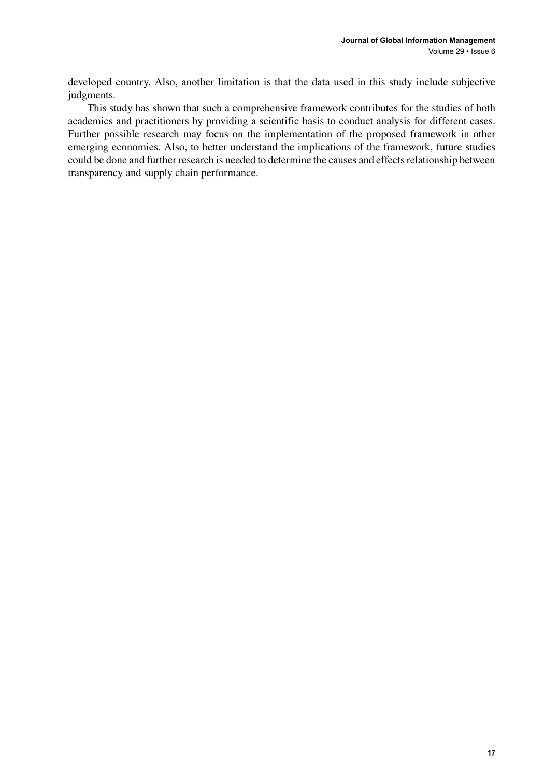developed country. Also, another limitation is that the data used in this study include subjective judgments.

This study has shown that such a comprehensive framework contributes for the studies of both academics and practitioners by providing a scientific basis to conduct analysis for different cases. Further possible research may focus on the implementation of the proposed framework in other emerging economies. Also, to better understand the implications of the framework, future studies could be done and further research is needed to determine the causes and effects relationship between transparency and supply chain performance.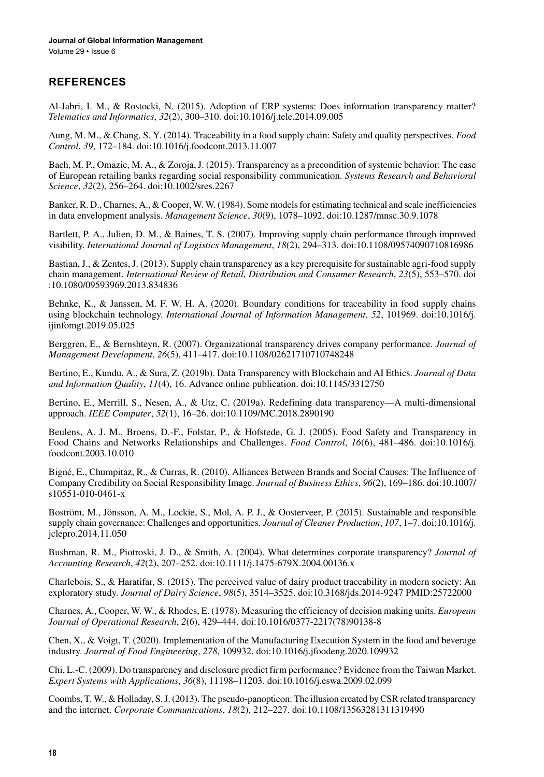# **REFERENCES**

Al-Jabri, I. M., & Rostocki, N. (2015). Adoption of ERP systems: Does information transparency matter? *Telematics and Informatics*, *32*(2), 300–310. doi[:10.1016/j.tele.2014.09.005](http://dx.doi.org/10.1016/j.tele.2014.09.005)

Aung, M. M., & Chang, S. Y. (2014). Traceability in a food supply chain: Safety and quality perspectives. *Food Control*, *39*, 172–184. doi:[10.1016/j.foodcont.2013.11.007](http://dx.doi.org/10.1016/j.foodcont.2013.11.007)

Bach, M. P., Omazic, M. A., & Zoroja, J. (2015). Transparency as a precondition of systemic behavior: The case of European retailing banks regarding social responsibility communication. *Systems Research and Behavioral Science*, *32*(2), 256–264. doi:[10.1002/sres.2267](http://dx.doi.org/10.1002/sres.2267)

Banker, R. D., Charnes, A., & Cooper, W. W. (1984). Some models for estimating technical and scale inefficiencies in data envelopment analysis. *Management Science*, *30*(9), 1078–1092. doi:[10.1287/mnsc.30.9.1078](http://dx.doi.org/10.1287/mnsc.30.9.1078)

Bartlett, P. A., Julien, D. M., & Baines, T. S. (2007). Improving supply chain performance through improved visibility. *International Journal of Logistics Management*, *18*(2), 294–313. doi[:10.1108/09574090710816986](http://dx.doi.org/10.1108/09574090710816986)

Bastian, J., & Zentes, J. (2013). Supply chain transparency as a key prerequisite for sustainable agri-food supply chain management. *International Review of Retail, Distribution and Consumer Research*, *23*(5), 553–570. doi :[10.1080/09593969.2013.834836](http://dx.doi.org/10.1080/09593969.2013.834836)

Behnke, K., & Janssen, M. F. W. H. A. (2020). Boundary conditions for traceability in food supply chains using blockchain technology. *International Journal of Information Management*, *52*, 101969. doi[:10.1016/j.](http://dx.doi.org/10.1016/j.ijinfomgt.2019.05.025) [ijinfomgt.2019.05.025](http://dx.doi.org/10.1016/j.ijinfomgt.2019.05.025)

Berggren, E., & Bernshteyn, R. (2007). Organizational transparency drives company performance. *Journal of Management Development*, *26*(5), 411–417. doi:[10.1108/02621710710748248](http://dx.doi.org/10.1108/02621710710748248)

Bertino, E., Kundu, A., & Sura, Z. (2019b). Data Transparency with Blockchain and AI Ethics. *Journal of Data and Information Quality*, *11*(4), 16. Advance online publication. doi:[10.1145/3312750](http://dx.doi.org/10.1145/3312750)

Bertino, E., Merrill, S., Nesen, A., & Utz, C. (2019a). Redefining data transparency—A multi-dimensional approach. *IEEE Computer*, *52*(1), 16–26. doi:[10.1109/MC.2018.2890190](http://dx.doi.org/10.1109/MC.2018.2890190)

Beulens, A. J. M., Broens, D.-F., Folstar, P., & Hofstede, G. J. (2005). Food Safety and Transparency in Food Chains and Networks Relationships and Challenges. *Food Control*, *16*(6), 481–486. doi:[10.1016/j.](http://dx.doi.org/10.1016/j.foodcont.2003.10.010) [foodcont.2003.10.010](http://dx.doi.org/10.1016/j.foodcont.2003.10.010)

Bigné, E., Chumpitaz, R., & Curras, R. (2010). Alliances Between Brands and Social Causes: The Influence of Company Credibility on Social Responsibility Image. *Journal of Business Ethics*, *96*(2), 169–186. doi[:10.1007/](http://dx.doi.org/10.1007/s10551-010-0461-x) [s10551-010-0461-x](http://dx.doi.org/10.1007/s10551-010-0461-x)

Boström, M., Jönsson, A. M., Lockie, S., Mol, A. P. J., & Oosterveer, P. (2015). Sustainable and responsible supply chain governance: Challenges and opportunities. *Journal of Cleaner Production*, *107*, 1–7. doi:[10.1016/j.](http://dx.doi.org/10.1016/j.jclepro.2014.11.050) [jclepro.2014.11.050](http://dx.doi.org/10.1016/j.jclepro.2014.11.050)

Bushman, R. M., Piotroski, J. D., & Smith, A. (2004). What determines corporate transparency? *Journal of Accounting Research*, *42*(2), 207–252. doi[:10.1111/j.1475-679X.2004.00136.x](http://dx.doi.org/10.1111/j.1475-679X.2004.00136.x)

Charlebois, S., & Haratifar, S. (2015). The perceived value of dairy product traceability in modern society: An exploratory study. *Journal of Dairy Science*, *98*(5), 3514–3525. doi[:10.3168/jds.2014-9247](http://dx.doi.org/10.3168/jds.2014-9247) PMID:[25722000](http://www.ncbi.nlm.nih.gov/pubmed/25722000)

Charnes, A., Cooper, W. W., & Rhodes, E. (1978). Measuring the efficiency of decision making units. *European Journal of Operational Research*, *2*(6), 429–444. doi:[10.1016/0377-2217\(78\)90138-8](http://dx.doi.org/10.1016/0377-2217(78)90138-8)

Chen, X., & Voigt, T. (2020). Implementation of the Manufacturing Execution System in the food and beverage industry. *Journal of Food Engineering*, *278*, 109932. doi[:10.1016/j.jfoodeng.2020.109932](http://dx.doi.org/10.1016/j.jfoodeng.2020.109932)

Chi, L.-C. (2009). Do transparency and disclosure predict firm performance? Evidence from the Taiwan Market. *Expert Systems with Applications*, *36*(8), 11198–11203. doi:[10.1016/j.eswa.2009.02.099](http://dx.doi.org/10.1016/j.eswa.2009.02.099)

Coombs, T. W., & Holladay, S. J. (2013). The pseudo-panopticon: The illusion created by CSR related transparency and the internet. *Corporate Communications*, *18*(2), 212–227. doi:[10.1108/13563281311319490](http://dx.doi.org/10.1108/13563281311319490)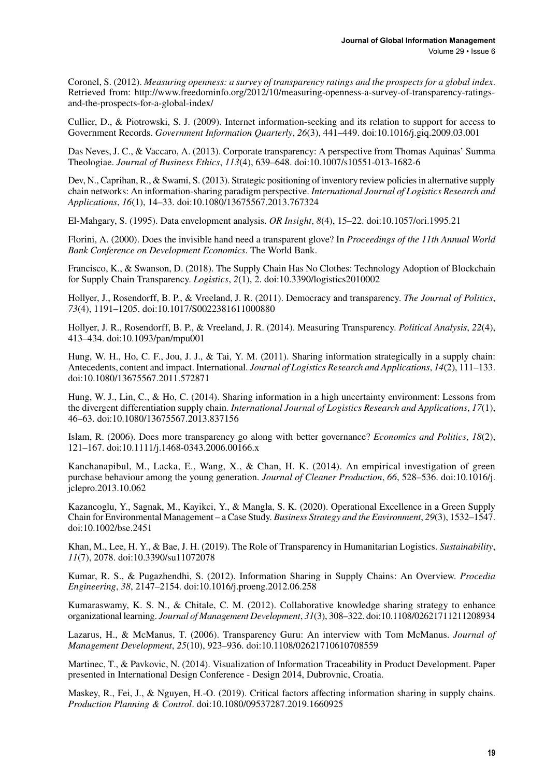Coronel, S. (2012). *Measuring openness: a survey of transparency ratings and the prospects for a global index*. Retrieved from: [http://www.freedominfo.org/2012/10/measuring-openness-a-survey-of-transparency-ratings](http://www.freedominfo.org/2012/10/measuring-openness-a-survey-of-transparency-ratings-and-the-prospects-for-a-global-index/)[and-the-prospects-for-a-global-index/](http://www.freedominfo.org/2012/10/measuring-openness-a-survey-of-transparency-ratings-and-the-prospects-for-a-global-index/)

Cullier, D., & Piotrowski, S. J. (2009). Internet information-seeking and its relation to support for access to Government Records. *Government Information Quarterly*, *26*(3), 441–449. doi[:10.1016/j.giq.2009.03.001](http://dx.doi.org/10.1016/j.giq.2009.03.001)

Das Neves, J. C., & Vaccaro, A. (2013). Corporate transparency: A perspective from Thomas Aquinas' Summa Theologiae. *Journal of Business Ethics*, *113*(4), 639–648. doi:[10.1007/s10551-013-1682-6](http://dx.doi.org/10.1007/s10551-013-1682-6)

Dev, N., Caprihan, R., & Swami, S. (2013). Strategic positioning of inventory review policies in alternative supply chain networks: An information-sharing paradigm perspective. *International Journal of Logistics Research and Applications*, *16*(1), 14–33. doi[:10.1080/13675567.2013.767324](http://dx.doi.org/10.1080/13675567.2013.767324)

El-Mahgary, S. (1995). Data envelopment analysis. *OR Insight*, *8*(4), 15–22. doi:[10.1057/ori.1995.21](http://dx.doi.org/10.1057/ori.1995.21)

Florini, A. (2000). Does the invisible hand need a transparent glove? In *Proceedings of the 11th Annual World Bank Conference on Development Economics*. The World Bank.

Francisco, K., & Swanson, D. (2018). The Supply Chain Has No Clothes: Technology Adoption of Blockchain for Supply Chain Transparency. *Logistics*, *2*(1), 2. doi:[10.3390/logistics2010002](http://dx.doi.org/10.3390/logistics2010002)

Hollyer, J., Rosendorff, B. P., & Vreeland, J. R. (2011). Democracy and transparency. *The Journal of Politics*, *73*(4), 1191–1205. doi:[10.1017/S0022381611000880](http://dx.doi.org/10.1017/S0022381611000880)

Hollyer, J. R., Rosendorff, B. P., & Vreeland, J. R. (2014). Measuring Transparency. *Political Analysis*, *22*(4), 413–434. doi[:10.1093/pan/mpu001](http://dx.doi.org/10.1093/pan/mpu001)

Hung, W. H., Ho, C. F., Jou, J. J., & Tai, Y. M. (2011). Sharing information strategically in a supply chain: Antecedents, content and impact. International. *Journal of Logistics Research and Applications*, *14*(2), 111–133. doi[:10.1080/13675567.2011.572871](http://dx.doi.org/10.1080/13675567.2011.572871)

Hung, W. J., Lin, C., & Ho, C. (2014). Sharing information in a high uncertainty environment: Lessons from the divergent differentiation supply chain. *International Journal of Logistics Research and Applications*, *17*(1), 46–63. doi[:10.1080/13675567.2013.837156](http://dx.doi.org/10.1080/13675567.2013.837156)

Islam, R. (2006). Does more transparency go along with better governance? *Economics and Politics*, *18*(2), 121–167. doi[:10.1111/j.1468-0343.2006.00166.x](http://dx.doi.org/10.1111/j.1468-0343.2006.00166.x)

Kanchanapibul, M., Lacka, E., Wang, X., & Chan, H. K. (2014). An empirical investigation of green purchase behaviour among the young generation. *Journal of Cleaner Production*, *66*, 528–536. doi[:10.1016/j.](http://dx.doi.org/10.1016/j.jclepro.2013.10.062) [jclepro.2013.10.062](http://dx.doi.org/10.1016/j.jclepro.2013.10.062)

Kazancoglu, Y., Sagnak, M., Kayikci, Y., & Mangla, S. K. (2020). Operational Excellence in a Green Supply Chain for Environmental Management – a Case Study. *Business Strategy and the Environment*, *29*(3), 1532–1547. doi[:10.1002/bse.2451](http://dx.doi.org/10.1002/bse.2451)

Khan, M., Lee, H. Y., & Bae, J. H. (2019). The Role of Transparency in Humanitarian Logistics. *Sustainability*, *11*(7), 2078. doi[:10.3390/su11072078](http://dx.doi.org/10.3390/su11072078)

Kumar, R. S., & Pugazhendhi, S. (2012). Information Sharing in Supply Chains: An Overview. *Procedia Engineering*, *38*, 2147–2154. doi:[10.1016/j.proeng.2012.06.258](http://dx.doi.org/10.1016/j.proeng.2012.06.258)

Kumaraswamy, K. S. N., & Chitale, C. M. (2012). Collaborative knowledge sharing strategy to enhance organizational learning. *Journal of Management Development*, *31*(3), 308–322. doi[:10.1108/02621711211208934](http://dx.doi.org/10.1108/02621711211208934)

Lazarus, H., & McManus, T. (2006). Transparency Guru: An interview with Tom McManus. *Journal of Management Development*, *25*(10), 923–936. doi[:10.1108/02621710610708559](http://dx.doi.org/10.1108/02621710610708559)

Martinec, T., & Pavkovic, N. (2014). Visualization of Information Traceability in Product Development. Paper presented in International Design Conference - Design 2014, Dubrovnic, Croatia.

Maskey, R., Fei, J., & Nguyen, H.-O. (2019). Critical factors affecting information sharing in supply chains. *Production Planning & Control*. doi:10.1080/09537287.2019.1660925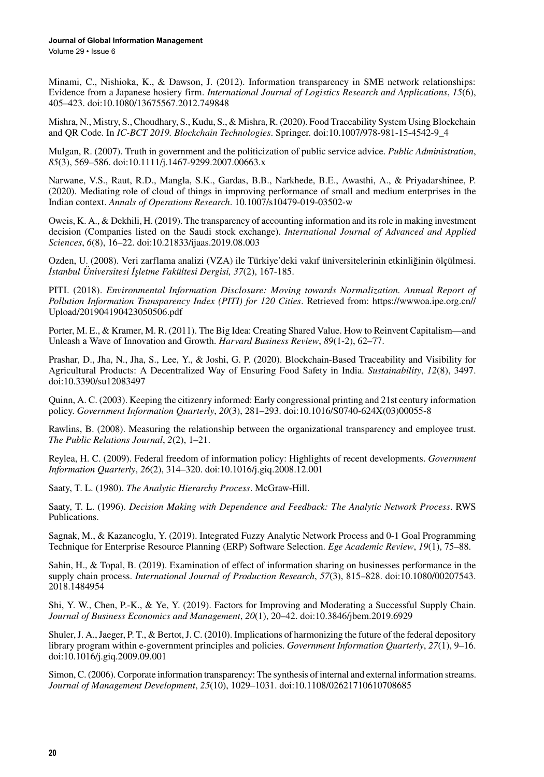Volume 29 • Issue 6

Minami, C., Nishioka, K., & Dawson, J. (2012). Information transparency in SME network relationships: Evidence from a Japanese hosiery firm. *International Journal of Logistics Research and Applications*, *15*(6), 405–423. doi[:10.1080/13675567.2012.749848](http://dx.doi.org/10.1080/13675567.2012.749848)

Mishra, N., Mistry, S., Choudhary, S., Kudu, S., & Mishra, R. (2020). Food Traceability System Using Blockchain and QR Code. In *IC-BCT 2019. Blockchain Technologies*. Springer. doi[:10.1007/978-981-15-4542-9\\_4](http://dx.doi.org/10.1007/978-981-15-4542-9_4)

Mulgan, R. (2007). Truth in government and the politicization of public service advice. *Public Administration*, *85*(3), 569–586. doi:[10.1111/j.1467-9299.2007.00663.x](http://dx.doi.org/10.1111/j.1467-9299.2007.00663.x)

Narwane, V.S., Raut, R.D., Mangla, S.K., Gardas, B.B., Narkhede, B.E., Awasthi, A., & Priyadarshinee, P. (2020). Mediating role of cloud of things in improving performance of small and medium enterprises in the Indian context. *Annals of Operations Research*. 10.1007/s10479-019-03502-w

Oweis, K. A., & Dekhili, H. (2019). The transparency of accounting information and its role in making investment decision (Companies listed on the Saudi stock exchange). *International Journal of Advanced and Applied Sciences*, *6*(8), 16–22. doi:[10.21833/ijaas.2019.08.003](http://dx.doi.org/10.21833/ijaas.2019.08.003)

Ozden, U. (2008). Veri zarflama analizi (VZA) ile Türkiye'deki vakıf üniversitelerinin etkinliğinin ölçülmesi. *İstanbul Üniversitesi İşletme Fakültesi Dergisi, 37*(2), 167-185.

PITI. (2018). *Environmental Information Disclosure: Moving towards Normalization. Annual Report of Pollution Information Transparency Index (PITI) for 120 Cities*. Retrieved from: [https://wwwoa.ipe.org.cn//](https://wwwoa.ipe.org.cn//Upload/201904190423050506.pdf) [Upload/201904190423050506.pdf](https://wwwoa.ipe.org.cn//Upload/201904190423050506.pdf)

Porter, M. E., & Kramer, M. R. (2011). The Big Idea: Creating Shared Value. How to Reinvent Capitalism—and Unleash a Wave of Innovation and Growth. *Harvard Business Review*, *89*(1-2), 62–77.

Prashar, D., Jha, N., Jha, S., Lee, Y., & Joshi, G. P. (2020). Blockchain-Based Traceability and Visibility for Agricultural Products: A Decentralized Way of Ensuring Food Safety in India. *Sustainability*, *12*(8), 3497. doi[:10.3390/su12083497](http://dx.doi.org/10.3390/su12083497)

Quinn, A. C. (2003). Keeping the citizenry informed: Early congressional printing and 21st century information policy. *Government Information Quarterly*, *20*(3), 281–293. doi:[10.1016/S0740-624X\(03\)00055-8](http://dx.doi.org/10.1016/S0740-624X(03)00055-8)

Rawlins, B. (2008). Measuring the relationship between the organizational transparency and employee trust. *The Public Relations Journal*, *2*(2), 1–21.

Reylea, H. C. (2009). Federal freedom of information policy: Highlights of recent developments. *Government Information Quarterly*, *26*(2), 314–320. doi[:10.1016/j.giq.2008.12.001](http://dx.doi.org/10.1016/j.giq.2008.12.001)

Saaty, T. L. (1980). *The Analytic Hierarchy Process*. McGraw-Hill.

Saaty, T. L. (1996). *Decision Making with Dependence and Feedback: The Analytic Network Process*. RWS Publications.

Sagnak, M., & Kazancoglu, Y. (2019). Integrated Fuzzy Analytic Network Process and 0-1 Goal Programming Technique for Enterprise Resource Planning (ERP) Software Selection. *Ege Academic Review*, *19*(1), 75–88.

Sahin, H., & Topal, B. (2019). Examination of effect of information sharing on businesses performance in the supply chain process. *International Journal of Production Research*, *57*(3), 815–828. doi:[10.1080/00207543.](http://dx.doi.org/10.1080/00207543.2018.1484954) [2018.1484954](http://dx.doi.org/10.1080/00207543.2018.1484954)

Shi, Y. W., Chen, P.-K., & Ye, Y. (2019). Factors for Improving and Moderating a Successful Supply Chain. *Journal of Business Economics and Management*, *20*(1), 20–42. doi[:10.3846/jbem.2019.6929](http://dx.doi.org/10.3846/jbem.2019.6929)

Shuler, J. A., Jaeger, P. T., & Bertot, J. C. (2010). Implications of harmonizing the future of the federal depository library program within e-government principles and policies. *Government Information Quarterly*, *27*(1), 9–16. doi[:10.1016/j.giq.2009.09.001](http://dx.doi.org/10.1016/j.giq.2009.09.001)

Simon, C. (2006). Corporate information transparency: The synthesis of internal and external information streams. *Journal of Management Development*, *25*(10), 1029–1031. doi:[10.1108/02621710610708685](http://dx.doi.org/10.1108/02621710610708685)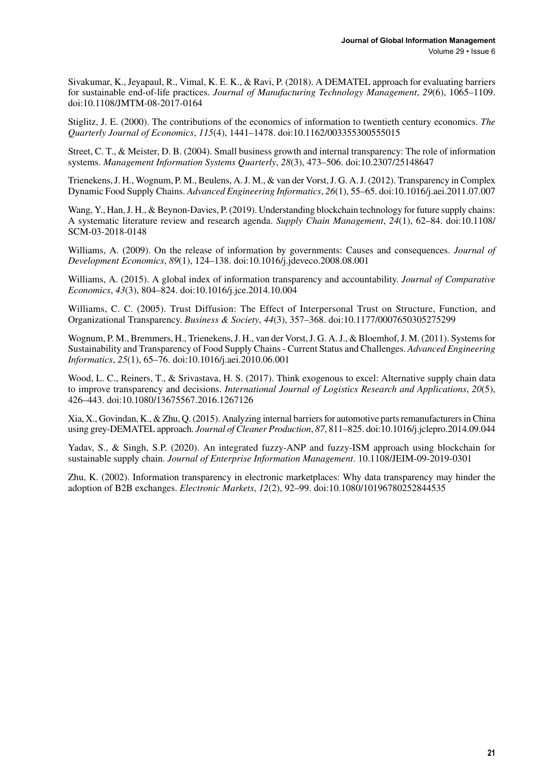Sivakumar, K., Jeyapaul, R., Vimal, K. E. K., & Ravi, P. (2018). A DEMATEL approach for evaluating barriers for sustainable end-of-life practices. *Journal of Manufacturing Technology Management*, *29*(6), 1065–1109. doi[:10.1108/JMTM-08-2017-0164](http://dx.doi.org/10.1108/JMTM-08-2017-0164)

Stiglitz, J. E. (2000). The contributions of the economics of information to twentieth century economics. *The Quarterly Journal of Economics*, *115*(4), 1441–1478. doi:[10.1162/003355300555015](http://dx.doi.org/10.1162/003355300555015)

Street, C. T., & Meister, D. B. (2004). Small business growth and internal transparency: The role of information systems. *Management Information Systems Quarterly*, *28*(3), 473–506. doi[:10.2307/25148647](http://dx.doi.org/10.2307/25148647)

Trienekens, J. H., Wognum, P. M., Beulens, A. J. M., & van der Vorst, J. G. A. J. (2012). Transparency in Complex Dynamic Food Supply Chains. *Advanced Engineering Informatics*, *26*(1), 55–65. doi[:10.1016/j.aei.2011.07.007](http://dx.doi.org/10.1016/j.aei.2011.07.007)

Wang, Y., Han, J. H., & Beynon-Davies, P. (2019). Understanding blockchain technology for future supply chains: A systematic literature review and research agenda. *Supply Chain Management*, *24*(1), 62–84. doi[:10.1108/](http://dx.doi.org/10.1108/SCM-03-2018-0148) [SCM-03-2018-0148](http://dx.doi.org/10.1108/SCM-03-2018-0148)

Williams, A. (2009). On the release of information by governments: Causes and consequences. *Journal of Development Economics*, *89*(1), 124–138. doi:[10.1016/j.jdeveco.2008.08.001](http://dx.doi.org/10.1016/j.jdeveco.2008.08.001)

Williams, A. (2015). A global index of information transparency and accountability. *Journal of Comparative Economics*, *43*(3), 804–824. doi:[10.1016/j.jce.2014.10.004](http://dx.doi.org/10.1016/j.jce.2014.10.004)

Williams, C. C. (2005). Trust Diffusion: The Effect of Interpersonal Trust on Structure, Function, and Organizational Transparency. *Business & Society*, *44*(3), 357–368. doi[:10.1177/0007650305275299](http://dx.doi.org/10.1177/0007650305275299)

Wognum, P. M., Bremmers, H., Trienekens, J. H., van der Vorst, J. G. A. J., & Bloemhof, J. M. (2011). Systems for Sustainability and Transparency of Food Supply Chains - Current Status and Challenges. *Advanced Engineering Informatics*, *25*(1), 65–76. doi[:10.1016/j.aei.2010.06.001](http://dx.doi.org/10.1016/j.aei.2010.06.001)

Wood, L. C., Reiners, T., & Srivastava, H. S. (2017). Think exogenous to excel: Alternative supply chain data to improve transparency and decisions. *International Journal of Logistics Research and Applications*, *20*(5), 426–443. doi[:10.1080/13675567.2016.1267126](http://dx.doi.org/10.1080/13675567.2016.1267126)

Xia, X., Govindan, K., & Zhu, Q. (2015). Analyzing internal barriers for automotive parts remanufacturers in China using grey-DEMATEL approach. *Journal of Cleaner Production*, *87*, 811–825. doi:[10.1016/j.jclepro.2014.09.044](http://dx.doi.org/10.1016/j.jclepro.2014.09.044)

Yadav, S., & Singh, S.P. (2020). An integrated fuzzy-ANP and fuzzy-ISM approach using blockchain for sustainable supply chain. *Journal of Enterprise Information Management*. 10.1108/JEIM-09-2019-0301

Zhu, K. (2002). Information transparency in electronic marketplaces: Why data transparency may hinder the adoption of B2B exchanges. *Electronic Markets*, *12*(2), 92–99. doi:[10.1080/10196780252844535](http://dx.doi.org/10.1080/10196780252844535)